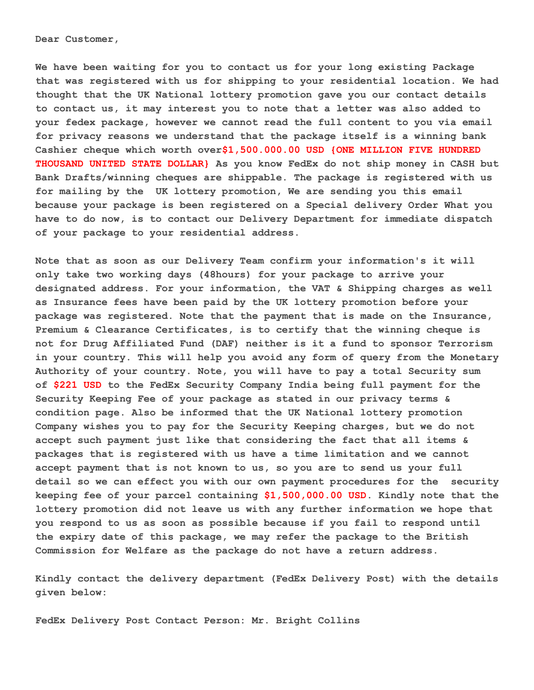**Dear Customer,**

**We have been waiting for you to contact us for your long existing Package that was registered with us for shipping to your residential location. We had thought that the UK National lottery promotion gave you our contact details to contact us, it may interest you to note that a letter was also added to your fedex package, however we cannot read the full content to you via email for privacy reasons we understand that the package itself is a winning bank Cashier cheque which worth over\$1,500.000.00 USD {ONE MILLION FIVE HUNDRED THOUSAND UNITED STATE DOLLAR} As you know FedEx do not ship money in CASH but Bank Drafts/winning cheques are shippable. The package is registered with us for mailing by the UK lottery promotion, We are sending you this email because your package is been registered on a Special delivery Order What you have to do now, is to contact our Delivery Department for immediate dispatch of your package to your residential address.**

**Note that as soon as our Delivery Team confirm your information's it will only take two working days (48hours) for your package to arrive your designated address. For your information, the VAT & Shipping charges as well as Insurance fees have been paid by the UK lottery promotion before your package was registered. Note that the payment that is made on the Insurance, Premium & Clearance Certificates, is to certify that the winning cheque is not for Drug Affiliated Fund (DAF) neither is it a fund to sponsor Terrorism in your country. This will help you avoid any form of query from the Monetary Authority of your country. Note, you will have to pay a total Security sum of \$221 USD to the FedEx Security Company India being full payment for the Security Keeping Fee of your package as stated in our privacy terms & condition page. Also be informed that the UK National lottery promotion Company wishes you to pay for the Security Keeping charges, but we do not accept such payment just like that considering the fact that all items & packages that is registered with us have a time limitation and we cannot accept payment that is not known to us, so you are to send us your full detail so we can effect you with our own payment procedures for the security keeping fee of your parcel containing \$1,500,000.00 USD. Kindly note that the lottery promotion did not leave us with any further information we hope that you respond to us as soon as possible because if you fail to respond until the expiry date of this package, we may refer the package to the British Commission for Welfare as the package do not have a return address.**

**Kindly contact the delivery department (FedEx Delivery Post) with the details given below:**

**FedEx Delivery Post Contact Person: Mr. Bright Collins**